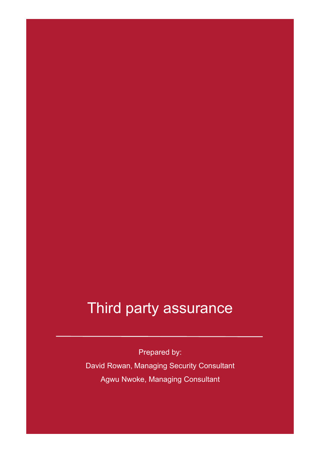### Third party assurance

Prepared by:

David Rowan, Managing Security Consultant Agwu Nwoke, Managing Consultant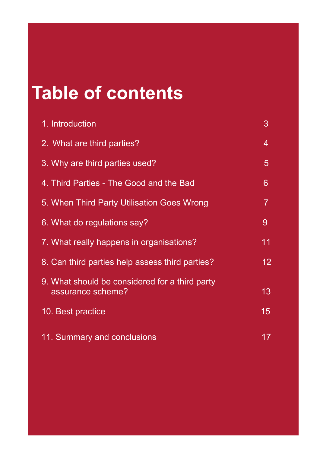# **Table of contents**

| 1. Introduction                                                     | 3  |
|---------------------------------------------------------------------|----|
| 2. What are third parties?                                          | 4  |
| 3. Why are third parties used?                                      | 5  |
| 4. Third Parties - The Good and the Bad                             | 6  |
| 5. When Third Party Utilisation Goes Wrong                          | 7  |
| 6. What do regulations say?                                         | 9  |
| 7. What really happens in organisations?                            | 11 |
| 8. Can third parties help assess third parties?                     | 12 |
| 9. What should be considered for a third party<br>assurance scheme? | 13 |
| 10. Best practice                                                   | 15 |
| 11. Summary and conclusions                                         | 17 |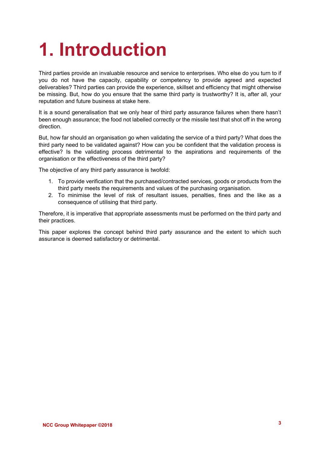# **1. Introduction**

Third parties provide an invaluable resource and service to enterprises. Who else do you turn to if you do not have the capacity, capability or competency to provide agreed and expected deliverables? Third parties can provide the experience, skillset and efficiency that might otherwise be missing. But, how do you ensure that the same third party is trustworthy? It is, after all, your reputation and future business at stake here.

It is a sound generalisation that we only hear of third party assurance failures when there hasn't been enough assurance; the food not labelled correctly or the missile test that shot off in the wrong direction.

But, how far should an organisation go when validating the service of a third party? What does the third party need to be validated against? How can you be confident that the validation process is effective? Is the validating process detrimental to the aspirations and requirements of the organisation or the effectiveness of the third party?

The objective of any third party assurance is twofold:

- 1. To provide verification that the purchased/contracted services, goods or products from the third party meets the requirements and values of the purchasing organisation.
- 2. To minimise the level of risk of resultant issues, penalties, fines and the like as a consequence of utilising that third party.

Therefore, it is imperative that appropriate assessments must be performed on the third party and their practices.

This paper explores the concept behind third party assurance and the extent to which such assurance is deemed satisfactory or detrimental.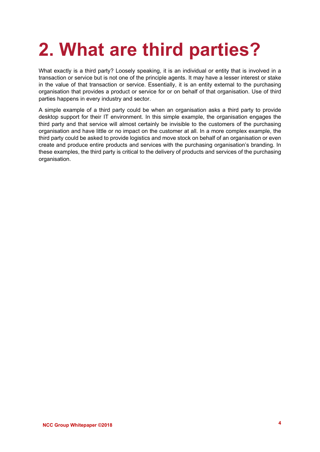# **2. What are third parties?**

What exactly is a third party? Loosely speaking, it is an individual or entity that is involved in a transaction or service but is not one of the principle agents. It may have a lesser interest or stake in the value of that transaction or service. Essentially, it is an entity external to the purchasing organisation that provides a product or service for or on behalf of that organisation. Use of third parties happens in every industry and sector.

A simple example of a third party could be when an organisation asks a third party to provide desktop support for their IT environment. In this simple example, the organisation engages the third party and that service will almost certainly be invisible to the customers of the purchasing organisation and have little or no impact on the customer at all. In a more complex example, the third party could be asked to provide logistics and move stock on behalf of an organisation or even create and produce entire products and services with the purchasing organisation's branding. In these examples, the third party is critical to the delivery of products and services of the purchasing organisation.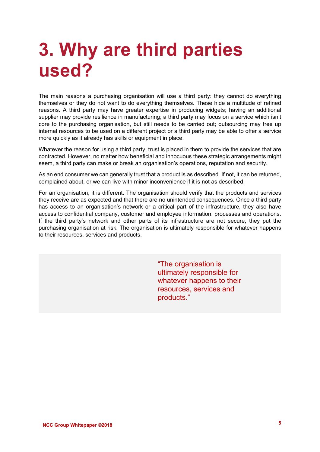### **3. Why are third parties used?**

The main reasons a purchasing organisation will use a third party: they cannot do everything themselves or they do not want to do everything themselves. These hide a multitude of refined reasons. A third party may have greater expertise in producing widgets; having an additional supplier may provide resilience in manufacturing; a third party may focus on a service which isn't core to the purchasing organisation, but still needs to be carried out; outsourcing may free up internal resources to be used on a different project or a third party may be able to offer a service more quickly as it already has skills or equipment in place.

Whatever the reason for using a third party, trust is placed in them to provide the services that are contracted. However, no matter how beneficial and innocuous these strategic arrangements might seem, a third party can make or break an organisation's operations, reputation and security.

As an end consumer we can generally trust that a product is as described. If not, it can be returned, complained about, or we can live with minor inconvenience if it is not as described.

For an organisation, it is different. The organisation should verify that the products and services they receive are as expected and that there are no unintended consequences. Once a third party has access to an organisation's network or a critical part of the infrastructure, they also have access to confidential company, customer and employee information, processes and operations. If the third party's network and other parts of its infrastructure are not secure, they put the purchasing organisation at risk. The organisation is ultimately responsible for whatever happens to their resources, services and products.

> "The organisation is ultimately responsible for whatever happens to their resources, services and products."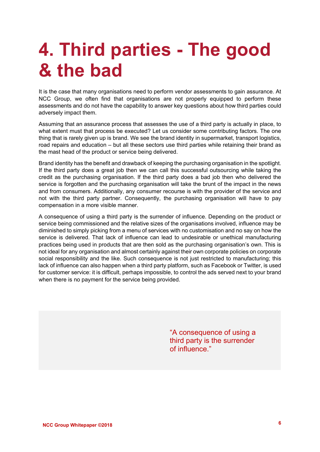## **4. Third parties - The good & the bad**

It is the case that many organisations need to perform vendor assessments to gain assurance. At NCC Group, we often find that organisations are not properly equipped to perform these assessments and do not have the capability to answer key questions about how third parties could adversely impact them.

Assuming that an assurance process that assesses the use of a third party is actually in place, to what extent must that process be executed? Let us consider some contributing factors. The one thing that is rarely given up is brand. We see the brand identity in supermarket, transport logistics, road repairs and education – but all these sectors use third parties while retaining their brand as the mast head of the product or service being delivered.

Brand identity has the benefit and drawback of keeping the purchasing organisation in the spotlight. If the third party does a great job then we can call this successful outsourcing while taking the credit as the purchasing organisation. If the third party does a bad job then who delivered the service is forgotten and the purchasing organisation will take the brunt of the impact in the news and from consumers. Additionally, any consumer recourse is with the provider of the service and not with the third party partner. Consequently, the purchasing organisation will have to pay compensation in a more visible manner.

A consequence of using a third party is the surrender of influence. Depending on the product or service being commissioned and the relative sizes of the organisations involved, influence may be diminished to simply picking from a menu of services with no customisation and no say on how the service is delivered. That lack of influence can lead to undesirable or unethical manufacturing practices being used in products that are then sold as the purchasing organisation's own. This is not ideal for any organisation and almost certainly against their own corporate policies on corporate social responsibility and the like. Such consequence is not just restricted to manufacturing; this lack of influence can also happen when a third party platform, such as Facebook or Twitter, is used for customer service: it is difficult, perhaps impossible, to control the ads served next to your brand when there is no payment for the service being provided.

> "A consequence of using a third party is the surrender of influence."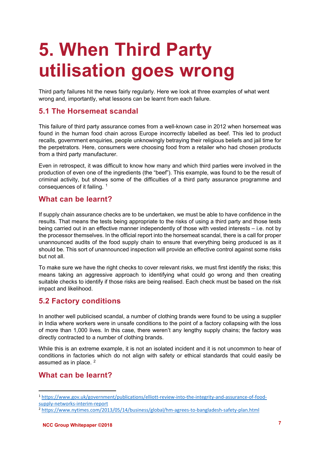# **5. When Third Party utilisation goes wrong**

Third party failures hit the news fairly regularly. Here we look at three examples of what went wrong and, importantly, what lessons can be learnt from each failure.

#### **5.1 The Horsemeat scandal**

This failure of third party assurance comes from a well-known case in 2012 when horsemeat was found in the human food chain across Europe incorrectly labelled as beef. This led to product recalls, government enquiries, people unknowingly betraying their religious beliefs and jail time for the perpetrators. Here, consumers were choosing food from a retailer who had chosen products from a third party manufacturer.

Even in retrospect, it was difficult to know how many and which third parties were involved in the production of even one of the ingredients (the "beef"). This example, was found to be the result of criminal activity, but shows some of the difficulties of a third party assurance programme and consequences of it failing. <sup>[1](#page-6-0)</sup>

#### **What can be learnt?**

If supply chain assurance checks are to be undertaken, we must be able to have confidence in the results. That means the tests being appropriate to the risks of using a third party and those tests being carried out in an effective manner independently of those with vested interests – i.e. not by the processor themselves. In the official report into the horsemeat scandal, there is a call for proper unannounced audits of the food supply chain to ensure that everything being produced is as it should be. This sort of unannounced inspection will provide an effective control against some risks but not all.

To make sure we have the right checks to cover relevant risks, we must first identify the risks; this means taking an aggressive approach to identifying what could go wrong and then creating suitable checks to identify if those risks are being realised. Each check must be based on the risk impact and likelihood.

#### **5.2 Factory conditions**

In another well publicised scandal, a number of clothing brands were found to be using a supplier in India where workers were in unsafe conditions to the point of a factory collapsing with the loss of more than 1,000 lives. In this case, there weren't any lengthy supply chains; the factory was directly contracted to a number of clothing brands.

While this is an extreme example, it is not an isolated incident and it is not uncommon to hear of conditions in factories which do not align with safety or ethical standards that could easily be assumed as in place.  $2^2$  $2^2$ 

#### **What can be learnt?**

<span id="page-6-0"></span> <sup>1</sup> [https://www.gov.uk/government/publications/elliott-review-into-the-integrity-and-assurance-of-food](https://www.gov.uk/government/publications/elliott-review-into-the-integrity-and-assurance-of-food-supply-networks-interim-report)[supply-networks-interim-report](https://www.gov.uk/government/publications/elliott-review-into-the-integrity-and-assurance-of-food-supply-networks-interim-report)

<span id="page-6-1"></span><sup>2</sup> <https://www.nytimes.com/2013/05/14/business/global/hm-agrees-to-bangladesh-safety-plan.html>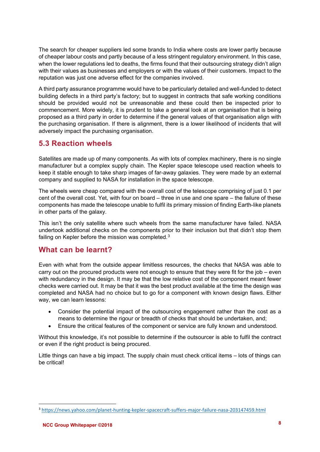The search for cheaper suppliers led some brands to India where costs are lower partly because of cheaper labour costs and partly because of a less stringent regulatory environment. In this case, when the lower regulations led to deaths, the firms found that their outsourcing strategy didn't align with their values as businesses and employers or with the values of their customers. Impact to the reputation was just one adverse effect for the companies involved.

A third party assurance programme would have to be particularly detailed and well-funded to detect building defects in a third party's factory; but to suggest in contracts that safe working conditions should be provided would not be unreasonable and these could then be inspected prior to commencement. More widely, it is prudent to take a general look at an organisation that is being proposed as a third party in order to determine if the general values of that organisation align with the purchasing organisation. If there is alignment, there is a lower likelihood of incidents that will adversely impact the purchasing organisation.

#### **5.3 Reaction wheels**

Satellites are made up of many components. As with lots of complex machinery, there is no single manufacturer but a complex supply chain. The Kepler space telescope used reaction wheels to keep it stable enough to take sharp images of far-away galaxies. They were made by an external company and supplied to NASA for installation in the space telescope.

The wheels were cheap compared with the overall cost of the telescope comprising of just 0.1 per cent of the overall cost. Yet, with four on board – three in use and one spare – the failure of these components has made the telescope unable to fulfil its primary mission of finding Earth-like planets in other parts of the galaxy.

This isn't the only satellite where such wheels from the same manufacturer have failed. NASA undertook additional checks on the components prior to their inclusion but that didn't stop them failing on Kepler before the mission was completed.<sup>[3](#page-7-0)</sup>

#### **What can be learnt?**

Even with what from the outside appear limitless resources, the checks that NASA was able to carry out on the procured products were not enough to ensure that they were fit for the job – even with redundancy in the design. It may be that the low relative cost of the component meant fewer checks were carried out. It may be that it was the best product available at the time the design was completed and NASA had no choice but to go for a component with known design flaws. Either way, we can learn lessons:

- Consider the potential impact of the outsourcing engagement rather than the cost as a means to determine the rigour or breadth of checks that should be undertaken, and;
- Ensure the critical features of the component or service are fully known and understood.

Without this knowledge, it's not possible to determine if the outsourcer is able to fulfil the contract or even if the right product is being procured.

Little things can have a big impact. The supply chain must check critical items – lots of things can be critical!

<span id="page-7-0"></span> <sup>3</sup> <https://news.yahoo.com/planet-hunting-kepler-spacecraft-suffers-major-failure-nasa-203147459.html>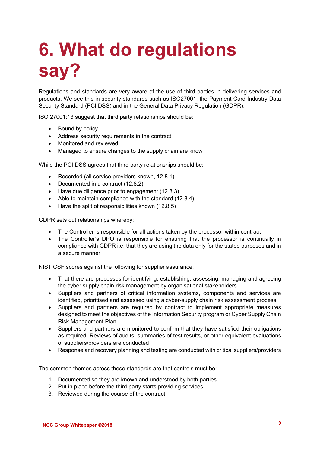# **6. What do regulations say?**

Regulations and standards are very aware of the use of third parties in delivering services and products. We see this in security standards such as ISO27001, the Payment Card Industry Data Security Standard (PCI DSS) and in the General Data Privacy Regulation (GDPR).

ISO 27001:13 suggest that third party relationships should be:

- Bound by policy
- Address security requirements in the contract
- Monitored and reviewed
- Managed to ensure changes to the supply chain are know

While the PCI DSS agrees that third party relationships should be:

- Recorded (all service providers known, 12.8.1)
- Documented in a contract (12.8.2)
- Have due diligence prior to engagement (12.8.3)
- Able to maintain compliance with the standard (12.8.4)
- Have the split of responsibilities known (12.8.5)

GDPR sets out relationships whereby:

- The Controller is responsible for all actions taken by the processor within contract
- The Controller's DPO is responsible for ensuring that the processor is continually in compliance with GDPR i.e. that they are using the data only for the stated purposes and in a secure manner

NIST CSF scores against the following for supplier assurance:

- That there are processes for identifying, establishing, assessing, managing and agreeing the cyber supply chain risk management by organisational stakeholders
- Suppliers and partners of critical information systems, components and services are identified, prioritised and assessed using a cyber-supply chain risk assessment process
- Suppliers and partners are required by contract to implement appropriate measures designed to meet the objectives of the Information Security program or Cyber Supply Chain Risk Management Plan
- Suppliers and partners are monitored to confirm that they have satisfied their obligations as required. Reviews of audits, summaries of test results, or other equivalent evaluations of suppliers/providers are conducted
- Response and recovery planning and testing are conducted with critical suppliers/providers

The common themes across these standards are that controls must be:

- 1. Documented so they are known and understood by both parties
- 2. Put in place before the third party starts providing services
- 3. Reviewed during the course of the contract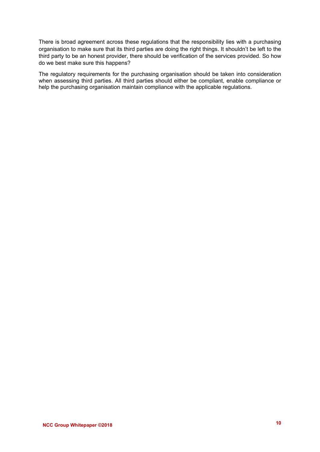There is broad agreement across these regulations that the responsibility lies with a purchasing organisation to make sure that its third parties are doing the right things. It shouldn't be left to the third party to be an honest provider, there should be verification of the services provided. So how do we best make sure this happens?

The regulatory requirements for the purchasing organisation should be taken into consideration when assessing third parties. All third parties should either be compliant, enable compliance or help the purchasing organisation maintain compliance with the applicable regulations.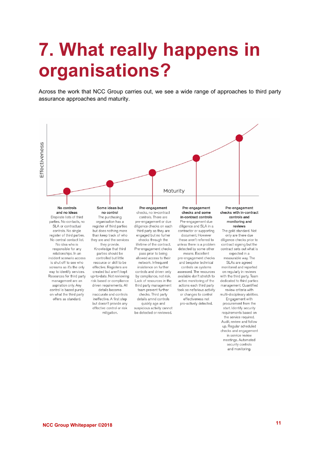### **7. What really happens in organisations?**

Across the work that NCC Group carries out, we see a wide range of approaches to third party assurance approaches and maturity.



meetings. Automated security controls and monitoring.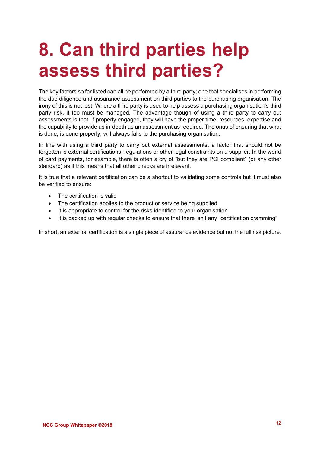## **8. Can third parties help assess third parties?**

The key factors so far listed can all be performed by a third party; one that specialises in performing the due diligence and assurance assessment on third parties to the purchasing organisation. The irony of this is not lost. Where a third party is used to help assess a purchasing organisation's third party risk, it too must be managed. The advantage though of using a third party to carry out assessments is that, if properly engaged, they will have the proper time, resources, expertise and the capability to provide as in-depth as an assessment as required. The onus of ensuring that what is done, is done properly, will always falls to the purchasing organisation.

In line with using a third party to carry out external assessments, a factor that should not be forgotten is external certifications, regulations or other legal constraints on a supplier. In the world of card payments, for example, there is often a cry of "but they are PCI compliant" (or any other standard) as if this means that all other checks are irrelevant.

It is true that a relevant certification can be a shortcut to validating some controls but it must also be verified to ensure:

- The certification is valid
- The certification applies to the product or service being supplied
- It is appropriate to control for the risks identified to your organisation
- It is backed up with regular checks to ensure that there isn't any "certification cramming"

In short, an external certification is a single piece of assurance evidence but not the full risk picture.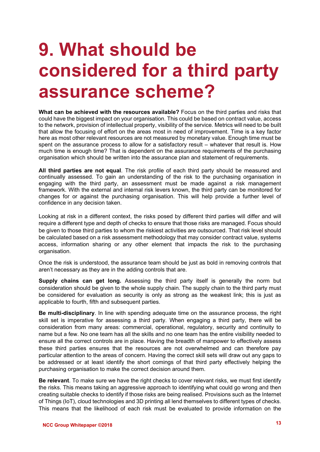### **9. What should be considered for a third party assurance scheme?**

**What can be achieved with the resources available?** Focus on the third parties and risks that could have the biggest impact on your organisation. This could be based on contract value, access to the network, provision of intellectual property, visibility of the service. Metrics will need to be built that allow the focusing of effort on the areas most in need of improvement. Time is a key factor here as most other relevant resources are not measured by monetary value. Enough time must be spent on the assurance process to allow for a satisfactory result – whatever that result is. How much time is enough time? That is dependent on the assurance requirements of the purchasing organisation which should be written into the assurance plan and statement of requirements.

**All third parties are not equal**. The risk profile of each third party should be measured and continually assessed. To gain an understanding of the risk to the purchasing organisation in engaging with the third party, an assessment must be made against a risk management framework. With the external and internal risk levers known, the third party can be monitored for changes for or against the purchasing organisation. This will help provide a further level of confidence in any decision taken.

Looking at risk in a different context, the risks posed by different third parties will differ and will require a different type and depth of checks to ensure that those risks are managed. Focus should be given to those third parties to whom the riskiest activities are outsourced. That risk level should be calculated based on a risk assessment methodology that may consider contract value, systems access, information sharing or any other element that impacts the risk to the purchasing organisation.

Once the risk is understood, the assurance team should be just as bold in removing controls that aren't necessary as they are in the adding controls that are.

**Supply chains can get long.** Assessing the third party itself is generally the norm but consideration should be given to the whole supply chain. The supply chain to the third party must be considered for evaluation as security is only as strong as the weakest link; this is just as applicable to fourth, fifth and subsequent parties.

**Be multi-disciplinary**. In line with spending adequate time on the assurance process, the right skill set is imperative for assessing a third party. When engaging a third party, there will be consideration from many areas: commercial, operational, regulatory, security and continuity to name but a few. No one team has all the skills and no one team has the entire visibility needed to ensure all the correct controls are in place. Having the breadth of manpower to effectively assess these third parties ensures that the resources are not overwhelmed and can therefore pay particular attention to the areas of concern. Having the correct skill sets will draw out any gaps to be addressed or at least identify the short comings of that third party effectively helping the purchasing organisation to make the correct decision around them.

**Be relevant**. To make sure we have the right checks to cover relevant risks, we must first identify the risks. This means taking an aggressive approach to identifying what could go wrong and then creating suitable checks to identify if those risks are being realised. Provisions such as the Internet of Things (IoT), cloud technologies and 3D printing all lend themselves to different types of checks. This means that the likelihood of each risk must be evaluated to provide information on the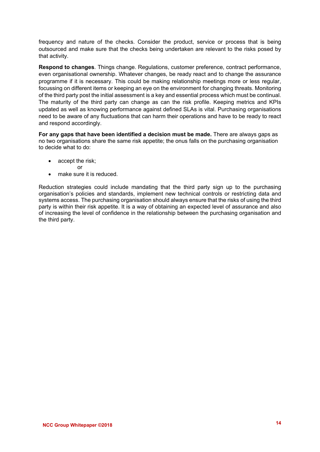frequency and nature of the checks. Consider the product, service or process that is being outsourced and make sure that the checks being undertaken are relevant to the risks posed by that activity.

**Respond to changes**. Things change. Regulations, customer preference, contract performance, even organisational ownership. Whatever changes, be ready react and to change the assurance programme if it is necessary. This could be making relationship meetings more or less regular, focussing on different items or keeping an eye on the environment for changing threats. Monitoring of the third party post the initial assessment is a key and essential process which must be continual. The maturity of the third party can change as can the risk profile. Keeping metrics and KPIs updated as well as knowing performance against defined SLAs is vital. Purchasing organisations need to be aware of any fluctuations that can harm their operations and have to be ready to react and respond accordingly.

**For any gaps that have been identified a decision must be made.** There are always gaps as no two organisations share the same risk appetite; the onus falls on the purchasing organisation to decide what to do:

- accept the risk;
	- or
- make sure it is reduced.

Reduction strategies could include mandating that the third party sign up to the purchasing organisation's policies and standards, implement new technical controls or restricting data and systems access. The purchasing organisation should always ensure that the risks of using the third party is within their risk appetite. It is a way of obtaining an expected level of assurance and also of increasing the level of confidence in the relationship between the purchasing organisation and the third party.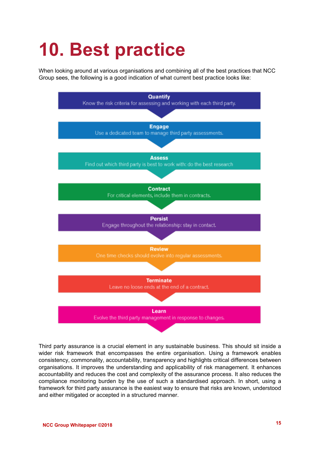# **10. Best practice**

When looking around at various organisations and combining all of the best practices that NCC Group sees, the following is a good indication of what current best practice looks like:



Third party assurance is a crucial element in any sustainable business. This should sit inside a wider risk framework that encompasses the entire organisation. Using a framework enables consistency, commonality, accountability, transparency and highlights critical differences between organisations. It improves the understanding and applicability of risk management. It enhances accountability and reduces the cost and complexity of the assurance process. It also reduces the compliance monitoring burden by the use of such a standardised approach. In short, using a framework for third party assurance is the easiest way to ensure that risks are known, understood and either mitigated or accepted in a structured manner.